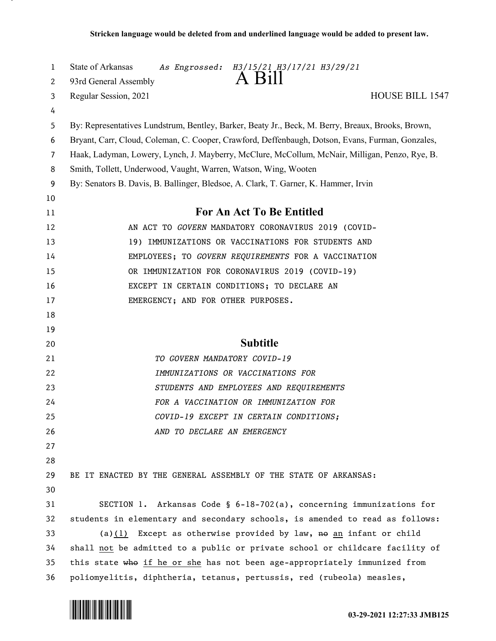| 1<br>2         | <b>State of Arkansas</b><br>As Engrossed: H3/15/21 H3/17/21 H3/29/21<br>A Bill<br>93rd General Assembly |
|----------------|---------------------------------------------------------------------------------------------------------|
| 3              | Regular Session, 2021<br><b>HOUSE BILL 1547</b>                                                         |
| 4              |                                                                                                         |
| 5              | By: Representatives Lundstrum, Bentley, Barker, Beaty Jr., Beck, M. Berry, Breaux, Brooks, Brown,       |
| 6              | Bryant, Carr, Cloud, Coleman, C. Cooper, Crawford, Deffenbaugh, Dotson, Evans, Furman, Gonzales,        |
| $\overline{7}$ | Haak, Ladyman, Lowery, Lynch, J. Mayberry, McClure, McCollum, McNair, Milligan, Penzo, Rye, B.          |
| 8              | Smith, Tollett, Underwood, Vaught, Warren, Watson, Wing, Wooten                                         |
| 9              | By: Senators B. Davis, B. Ballinger, Bledsoe, A. Clark, T. Garner, K. Hammer, Irvin                     |
| 10             |                                                                                                         |
| 11             | For An Act To Be Entitled                                                                               |
| 12             | AN ACT TO GOVERN MANDATORY CORONAVIRUS 2019 (COVID-                                                     |
| 13             | 19) IMMUNIZATIONS OR VACCINATIONS FOR STUDENTS AND                                                      |
| 14             | EMPLOYEES; TO GOVERN REQUIREMENTS FOR A VACCINATION                                                     |
| 15             | OR IMMUNIZATION FOR CORONAVIRUS 2019 (COVID-19)                                                         |
| 16             | EXCEPT IN CERTAIN CONDITIONS; TO DECLARE AN                                                             |
| 17             | EMERGENCY; AND FOR OTHER PURPOSES.                                                                      |
| 18             |                                                                                                         |
| 19             |                                                                                                         |
| 20             | <b>Subtitle</b>                                                                                         |
| 21             | TO GOVERN MANDATORY COVID-19                                                                            |
| 22             | IMMUNIZATIONS OR VACCINATIONS FOR                                                                       |
| 23             | STUDENTS AND EMPLOYEES AND REQUIREMENTS                                                                 |
| 24             | FOR A VACCINATION OR IMMUNIZATION FOR                                                                   |
| 25             | COVID-19 EXCEPT IN CERTAIN CONDITIONS;                                                                  |
| 26             | AND TO DECLARE AN EMERGENCY                                                                             |
| 27             |                                                                                                         |
| 28             |                                                                                                         |
| 29             | BE IT ENACTED BY THE GENERAL ASSEMBLY OF THE STATE OF ARKANSAS:                                         |
| 30             |                                                                                                         |
| 31             | SECTION 1. Arkansas Code § $6-18-702(a)$ , concerning immunizations for                                 |
| 32             | students in elementary and secondary schools, is amended to read as follows:                            |
| 33             | (a) $(1)$ Except as otherwise provided by law, no an infant or child                                    |
| 34             | shall not be admitted to a public or private school or childcare facility of                            |
| 35             | this state who if he or she has not been age-appropriately immunized from                               |
| 36             | poliomyelitis, diphtheria, tetanus, pertussis, red (rubeola) measles,                                   |

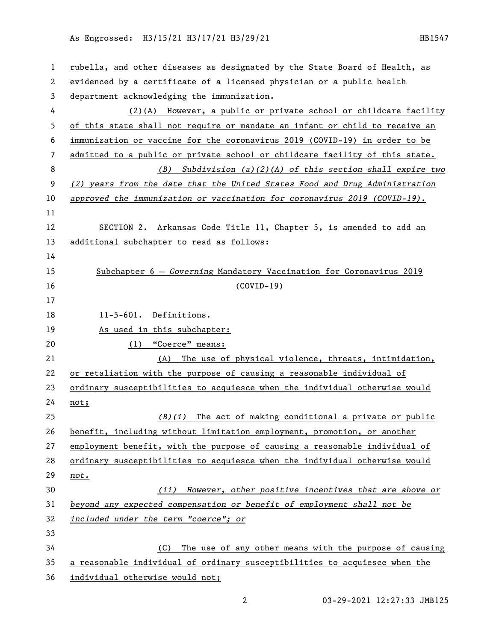## As Engrossed: H3/15/21 H3/17/21 H3/29/21 121 122 122 123 123 1247

| 1  | rubella, and other diseases as designated by the State Board of Health, as  |
|----|-----------------------------------------------------------------------------|
| 2  | evidenced by a certificate of a licensed physician or a public health       |
| 3  | department acknowledging the immunization.                                  |
| 4  | (2)(A) However, a public or private school or childcare facility            |
| 5  | of this state shall not require or mandate an infant or child to receive an |
| 6  | immunization or vaccine for the coronavirus 2019 (COVID-19) in order to be  |
| 7  | admitted to a public or private school or childcare facility of this state. |
| 8  | Subdivision $(a)(2)(A)$ of this section shall expire two<br>( <i>B</i> )    |
| 9  | (2) years from the date that the United States Food and Drug Administration |
| 10 | approved the immunization or vaccination for coronavirus $2019$ (COVID-19). |
| 11 |                                                                             |
| 12 | SECTION 2. Arkansas Code Title 11, Chapter 5, is amended to add an          |
| 13 | additional subchapter to read as follows:                                   |
| 14 |                                                                             |
| 15 | Subchapter 6 - Governing Mandatory Vaccination for Coronavirus 2019         |
| 16 | $(COVID-19)$                                                                |
| 17 |                                                                             |
| 18 | 11-5-601. Definitions.                                                      |
| 19 | As used in this subchapter:                                                 |
| 20 | (1) "Coerce" means:                                                         |
| 21 | The use of physical violence, threats, intimidation,<br>(A)                 |
| 22 | or retaliation with the purpose of causing a reasonable individual of       |
| 23 | ordinary susceptibilities to acquiesce when the individual otherwise would  |
| 24 | not;                                                                        |
| 25 | $(B)(i)$ The act of making conditional a private or public                  |
| 26 | benefit, including without limitation employment, promotion, or another     |
| 27 | employment benefit, with the purpose of causing a reasonable individual of  |
| 28 | ordinary susceptibilities to acquiesce when the individual otherwise would  |
| 29 | not.                                                                        |
| 30 | However, other positive incentives that are above or<br>(ii)                |
| 31 | beyond any expected compensation or benefit of employment shall not be      |
| 32 | included under the term "coerce"; or                                        |
| 33 |                                                                             |
| 34 | The use of any other means with the purpose of causing<br>(C)               |
| 35 | a reasonable individual of ordinary susceptibilities to acquiesce when the  |
| 36 | individual otherwise would not;                                             |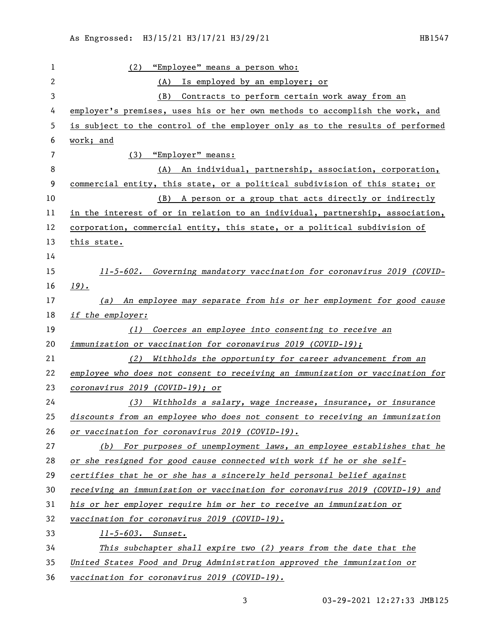| 1              | "Employee" means a person who:<br>(2)                                         |
|----------------|-------------------------------------------------------------------------------|
| $\overline{c}$ | Is employed by an employer; or<br>(A)                                         |
| 3              | Contracts to perform certain work away from an<br>(B)                         |
| 4              | employer's premises, uses his or her own methods to accomplish the work, and  |
| 5              | is subject to the control of the employer only as to the results of performed |
| 6              | work; and                                                                     |
| 7              | (3) "Employer" means:                                                         |
| 8              | An individual, partnership, association, corporation,<br>(A)                  |
| 9              | commercial entity, this state, or a political subdivision of this state; or   |
| 10             | A person or a group that acts directly or indirectly<br>(B)                   |
| 11             | in the interest of or in relation to an individual, partnership, association, |
| 12             | corporation, commercial entity, this state, or a political subdivision of     |
| 13             | this state.                                                                   |
| 14             |                                                                               |
| 15             | 11-5-602. Governing mandatory vaccination for coronavirus 2019 (COVID-        |
| 16             | $19$ ).                                                                       |
| 17             | (a) An employee may separate from his or her employment for good cause        |
| 18             | if the employer:                                                              |
| 19             | Coerces an employee into consenting to receive an<br>(1)                      |
| 20             | <i>immunization or vaccination for coronavirus 2019 (COVID-19);</i>           |
| 21             | Withholds the opportunity for career advancement from an<br>(2)               |
| 22             | employee who does not consent to receiving an immunization or vaccination for |
| 23             | coronavirus 2019 (COVID-19); or                                               |
| 24             | (3) Withholds a salary, wage increase, insurance, or insurance                |
| 25             | discounts from an employee who does not consent to receiving an immunization  |
| 26             | or vaccination for coronavirus 2019 (COVID-19).                               |
| 27             | (b) For purposes of unemployment laws, an employee establishes that he        |
| 28             | or she resigned for good cause connected with work if he or she self-         |
| 29             | certifies that he or she has a sincerely held personal belief against         |
| 30             | receiving an immunization or vaccination for coronavirus 2019 (COVID-19) and  |
| 31             | his or her employer require him or her to receive an immunization or          |
| 32             | vaccination for coronavirus 2019 (COVID-19).                                  |
| 33             | 11-5-603. Sunset.                                                             |
| 34             | This subchapter shall expire two $(2)$ years from the date that the           |
| 35             | United States Food and Drug Administration approved the immunization or       |
|                |                                                                               |

03-29-2021 12:27:33 JMB125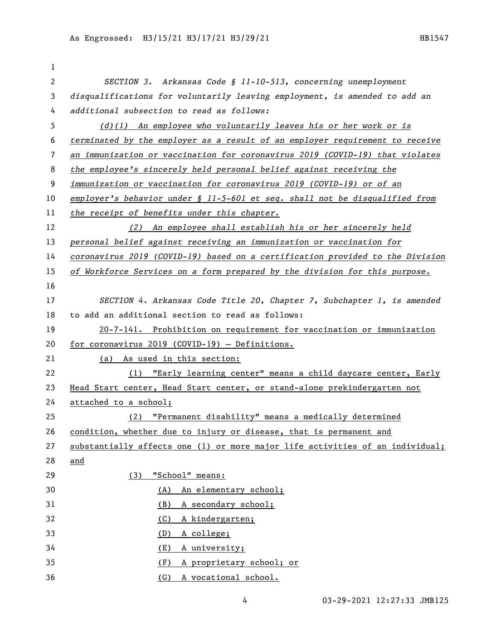| 1  |                                                                                |
|----|--------------------------------------------------------------------------------|
| 2  | SECTION 3. Arkansas Code § 11-10-513, concerning unemployment                  |
| 3  | disqualifications for voluntarily leaving employment, is amended to add an     |
| 4  | additional subsection to read as follows:                                      |
| 5  | $(d)(1)$ An employee who voluntarily leaves his or her work or is              |
| 6  | terminated by the employer as a result of an employer requirement to receive   |
| 7  | an immunization or vaccination for coronavirus 2019 (COVID-19) that violates   |
| 8  | the employee's sincerely held personal belief against receiving the            |
| 9  | immunization or vaccination for coronavirus 2019 (COVID-19) or of an           |
| 10 | employer's behavior under $\S$ 11-5-601 et seq. shall not be disqualified from |
| 11 | the receipt of benefits under this chapter.                                    |
| 12 | (2) An employee shall establish his or her sincerely held                      |
| 13 | personal belief against receiving an immunization or vaccination for           |
| 14 | coronavirus 2019 (COVID-19) based on a certification provided to the Division  |
| 15 | of Workforce Services on a form prepared by the division for this purpose.     |
| 16 |                                                                                |
| 17 | SECTION 4. Arkansas Code Title 20, Chapter 7, Subchapter 1, is amended         |
| 18 | to add an additional section to read as follows:                               |
| 19 | 20-7-141. Prohibition on requirement for vaccination or immunization           |
| 20 | for coronavirus 2019 (COVID-19) - Definitions.                                 |
| 21 | (a) As used in this section:                                                   |
| 22 | (1) "Early learning center" means a child daycare center, Early                |
| 23 | Head Start center, Head Start center, or stand-alone prekindergarten not       |
| 24 | attached to a school;                                                          |
| 25 | "Permanent disability" means a medically determined<br>(2)                     |
| 26 | condition, whether due to injury or disease, that is permanent and             |
| 27 | substantially affects one (1) or more major life activities of an individual;  |
| 28 | and                                                                            |
| 29 | "School" means:<br>(3)                                                         |
| 30 | An elementary school;<br>(A)                                                   |
| 31 | A secondary school;<br>(B)                                                     |
| 32 | A kindergarten;<br>(C)                                                         |
| 33 | (D)<br>A college;                                                              |
| 34 | A university;<br>(E)                                                           |
| 35 | A proprietary school; or<br>(F)                                                |
| 36 | (G)<br>A vocational school.                                                    |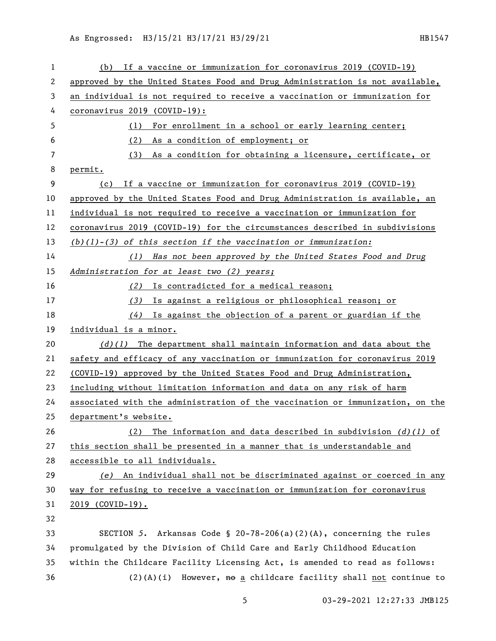| 1  | (b) If a vaccine or immunization for coronavirus 2019 (COVID-19)              |
|----|-------------------------------------------------------------------------------|
| 2  | approved by the United States Food and Drug Administration is not available,  |
| 3  | an individual is not required to receive a vaccination or immunization for    |
| 4  | coronavirus 2019 (COVID-19):                                                  |
| 5  | (1) For enrollment in a school or early learning center;                      |
| 6  | As a condition of employment; or<br>(2)                                       |
| 7  | As a condition for obtaining a licensure, certificate, or<br>(3)              |
| 8  | permit.                                                                       |
| 9  | If a vaccine or immunization for coronavirus 2019 (COVID-19)<br>(c)           |
| 10 | approved by the United States Food and Drug Administration is available, an   |
| 11 | individual is not required to receive a vaccination or immunization for       |
| 12 | coronavirus 2019 (COVID-19) for the circumstances described in subdivisions   |
| 13 | $(b)(1)-(3)$ of this section if the vaccination or immunization:              |
| 14 | (1) Has not been approved by the United States Food and Drug                  |
| 15 | Administration for at least two (2) years;                                    |
| 16 | (2) Is contradicted for a medical reason;                                     |
| 17 | (3) Is against a religious or philosophical reason; or                        |
| 18 | $(4)$ Is against the objection of a parent or guardian if the                 |
| 19 | individual is a minor.                                                        |
| 20 | $(d)(1)$ The department shall maintain information and data about the         |
| 21 | safety and efficacy of any vaccination or immunization for coronavirus 2019   |
| 22 | (COVID-19) approved by the United States Food and Drug Administration,        |
| 23 | including without limitation information and data on any risk of harm         |
| 24 | associated with the administration of the vaccination or immunization, on the |
| 25 | department's website.                                                         |
| 26 | The information and data described in subdivision $(d)$ (1) of<br>(2)         |
| 27 | this section shall be presented in a manner that is understandable and        |
| 28 | accessible to all individuals.                                                |
| 29 | (e) An individual shall not be discriminated against or coerced in any        |
| 30 | way for refusing to receive a vaccination or immunization for coronavirus     |
| 31 | <u>2019 (COVID-19).</u>                                                       |
| 32 |                                                                               |
| 33 | SECTION 5. Arkansas Code § 20-78-206(a)(2)(A), concerning the rules           |
| 34 | promulgated by the Division of Child Care and Early Childhood Education       |
| 35 | within the Childcare Facility Licensing Act, is amended to read as follows:   |
| 36 | $(2)(A)(i)$ However, $A\theta$ a childcare facility shall not continue to     |

03-29-2021 12:27:33 JMB125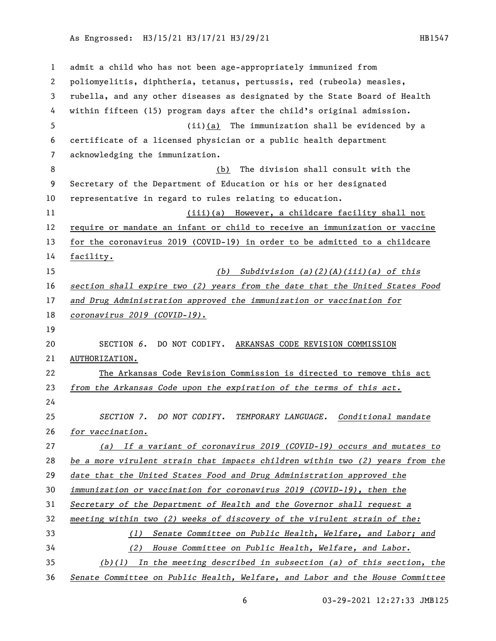As Engrossed: H3/15/21 H3/17/21 H3/29/21 HB1547

 admit a child who has not been age-appropriately immunized from poliomyelitis, diphtheria, tetanus, pertussis, red (rubeola) measles, rubella, and any other diseases as designated by the State Board of Health within fifteen (15) program days after the child's original admission. (ii)(a) The immunization shall be evidenced by a certificate of a licensed physician or a public health department acknowledging the immunization. (b) The division shall consult with the Secretary of the Department of Education or his or her designated representative in regard to rules relating to education. (iii)(a) However, a childcare facility shall not require or mandate an infant or child to receive an immunization or vaccine for the coronavirus 2019 (COVID-19) in order to be admitted to a childcare facility. *(b) Subdivision (a)(2)(A)(iii)(a) of this section shall expire two (2) years from the date that the United States Food and Drug Administration approved the immunization or vaccination for coronavirus 2019 (COVID-19).* SECTION *6*. DO NOT CODIFY. ARKANSAS CODE REVISION COMMISSION AUTHORIZATION. The Arkansas Code Revision Commission is directed to remove this act *from the Arkansas Code upon the expiration of the terms of this act. SECTION 7. DO NOT CODIFY. TEMPORARY LANGUAGE. Conditional mandate for vaccination. (a) If a variant of coronavirus 2019 (COVID-19) occurs and mutates to be a more virulent strain that impacts children within two (2) years from the date that the United States Food and Drug Administration approved the immunization or vaccination for coronavirus 2019 (COVID-19), then the Secretary of the Department of Health and the Governor shall request a meeting within two (2) weeks of discovery of the virulent strain of the: (1) Senate Committee on Public Health, Welfare, and Labor; and (2) House Committee on Public Health, Welfare, and Labor. (b)(1) In the meeting described in subsection (a) of this section, the* 

*Senate Committee on Public Health, Welfare, and Labor and the House Committee* 

03-29-2021 12:27:33 JMB125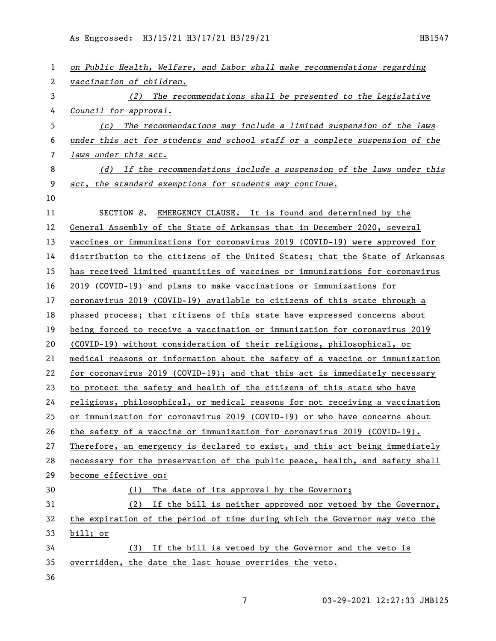As Engrossed: H3/15/21 H3/17/21 H3/29/21 121 122 122 123 123 1247

| 1  | on Public Health, Welfare, and Labor shall make recommendations regarding     |
|----|-------------------------------------------------------------------------------|
| 2  | vaccination of children.                                                      |
| 3  | (2) The recommendations shall be presented to the Legislative                 |
| 4  | Council for approval.                                                         |
| 5  | The recommendations may include a limited suspension of the laws<br>(c)       |
| 6  | under this act for students and school staff or a complete suspension of the  |
| 7  | laws under this act.                                                          |
| 8  | (d) If the recommendations include a suspension of the laws under this        |
| 9  | act, the standard exemptions for students may continue.                       |
| 10 |                                                                               |
| 11 | SECTION 8.<br>EMERGENCY CLAUSE. It is found and determined by the             |
| 12 | General Assembly of the State of Arkansas that in December 2020, several      |
| 13 | vaccines or immunizations for coronavirus 2019 (COVID-19) were approved for   |
| 14 | distribution to the citizens of the United States; that the State of Arkansas |
| 15 | has received limited quantities of vaccines or immunizations for coronavirus  |
| 16 | 2019 (COVID-19) and plans to make vaccinations or immunizations for           |
| 17 | coronavirus 2019 (COVID-19) available to citizens of this state through a     |
| 18 | phased process; that citizens of this state have expressed concerns about     |
| 19 | being forced to receive a vaccination or immunization for coronavirus 2019    |
| 20 | (COVID-19) without consideration of their religious, philosophical, or        |
| 21 | medical reasons or information about the safety of a vaccine or immunization  |
| 22 | for coronavirus 2019 (COVID-19); and that this act is immediately necessary   |
| 23 | to protect the safety and health of the citizens of this state who have       |
| 24 | religious, philosophical, or medical reasons for not receiving a vaccination  |
| 25 | or immunization for coronavirus 2019 (COVID-19) or who have concerns about    |
| 26 | the safety of a vaccine or immunization for coronavirus 2019 (COVID-19).      |
| 27 | Therefore, an emergency is declared to exist, and this act being immediately  |
| 28 | necessary for the preservation of the public peace, health, and safety shall  |
| 29 | become effective on:                                                          |
| 30 | The date of its approval by the Governor;<br>(1)                              |
| 31 | (2) If the bill is neither approved nor vetoed by the Governor,               |
| 32 | the expiration of the period of time during which the Governor may veto the   |
| 33 | bill; or                                                                      |
| 34 | (3) If the bill is vetoed by the Governor and the veto is                     |
| 35 | overridden, the date the last house overrides the veto.                       |
| 36 |                                                                               |